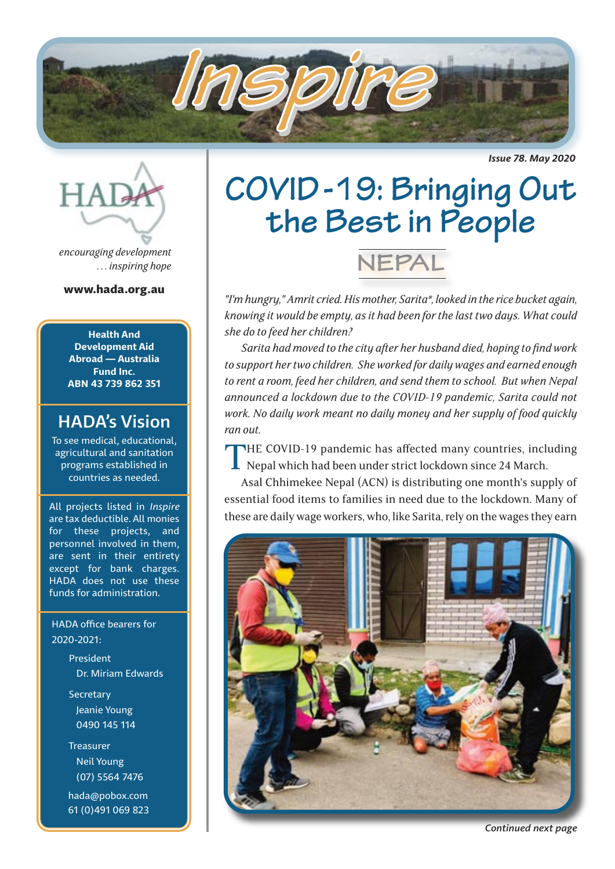

*Issue 78. May 2020*



*encouraging development . . . inspiring hope*

www.hada.org.au

**Health And Development Aid Abroad — Australia Fund Inc. ABN 43 739 862 351**

## HADA's Vision

To see medical, educational, agricultural and sanitation programs established in countries as needed.

All projects listed in *Inspire* are tax deductible. All monies for these projects, and personnel involved in them, are sent in their entirety except for bank charges. HADA does not use these funds for administration.

 HADA office bearers for 2020-2021:

> President Dr. Miriam Edwards

**Secretary**  Jeanie Young 0490 145 114

 Treasurer Neil Young (07) 5564 7476

 hada@pobox.com 61 (0)491 069 823

# **COVID -19: Bringing Out the Best in People**



*"I'm hungry," Amrit cried. His mother, Sarita\*, looked in the rice bucket again, knowing it would be empty, as it had been for the last two days. What could she do to feed her children?*

*Sarita had moved to the city after her husband died, hoping to find work to support her two children. She worked for daily wages and earned enough to rent a room, feed her children, and send them to school. But when Nepal announced a lockdown due to the COVID-19 pandemic, Sarita could not work. No daily work meant no daily money and her supply of food quickly ran out.*

THE COVID-19 pandemic has affected many countries, including Nepal which had been under strict lockdown since 24 March.

Asal Chhimekee Nepal (ACN) is distributing one month's supply of essential food items to families in need due to the lockdown. Many of these are daily wage workers, who, like Sarita, rely on the wages they earn



*Continued next page*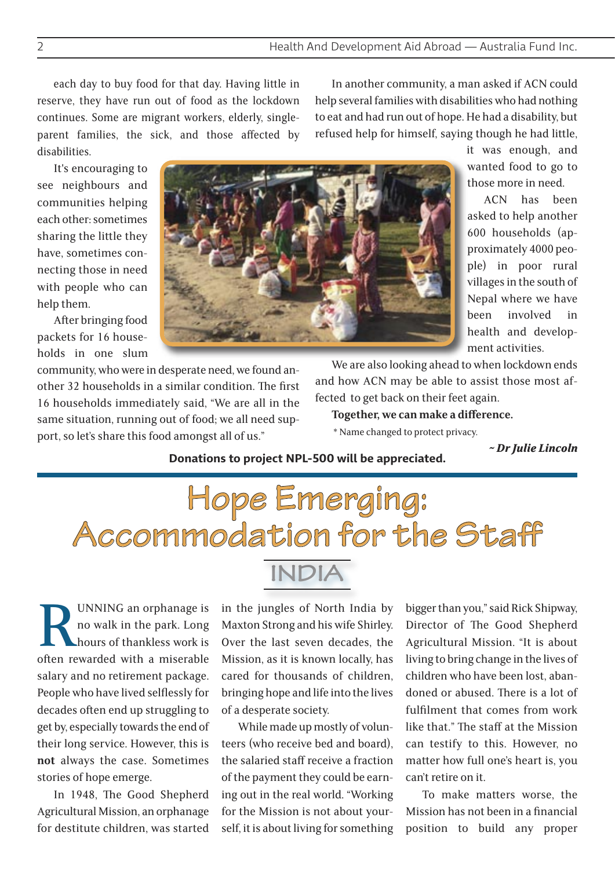each day to buy food for that day. Having little in reserve, they have run out of food as the lockdown continues. Some are migrant workers, elderly, singleparent families, the sick, and those affected by disabilities.

In another community, a man asked if ACN could help several families with disabilities who had nothing to eat and had run out of hope. He had a disability, but refused help for himself, saying though he had little,

It's encouraging to see neighbours and communities helping each other: sometimes sharing the little they have, sometimes connecting those in need with people who can help them.

After bringing food packets for 16 households in one slum

community, who were in desperate need, we found another 32 households in a similar condition. The first 16 households immediately said, "We are all in the same situation, running out of food; we all need support, so let's share this food amongst all of us."

it was enough, and wanted food to go to those more in need.

ACN has been asked to help another 600 households (approximately 4000 people) in poor rural villages in the south of Nepal where we have been involved in health and development activities.

We are also looking ahead to when lockdown ends and how ACN may be able to assist those most affected to get back on their feet again.

**Together, we can make a difference.**

\* Name changed to protect privacy.

*~ Dr Julie Lincoln*

#### **Donations to project NPL-500 will be appreciated.**



**RUNNING** an orphanage is<br>no walk in the park. Long<br>hours of thankless work is<br>often rewarded with a miserable no walk in the park. Long hours of thankless work is salary and no retirement package. People who have lived selflessly for decades often end up struggling to get by, especially towards the end of their long service. However, this is **not** always the case. Sometimes stories of hope emerge.

In 1948, The Good Shepherd Agricultural Mission, an orphanage for destitute children, was started

in the jungles of North India by Maxton Strong and his wife Shirley. Over the last seven decades, the Mission, as it is known locally, has cared for thousands of children, bringing hope and life into the lives of a desperate society.

While made up mostly of volunteers (who receive bed and board), the salaried staff receive a fraction of the payment they could be earning out in the real world. "Working for the Mission is not about yourself, it is about living for something

bigger than you," said Rick Shipway, Director of The Good Shepherd Agricultural Mission. "It is about living to bring change in the lives of children who have been lost, abandoned or abused. There is a lot of fulfilment that comes from work like that." The staff at the Mission can testify to this. However, no matter how full one's heart is, you can't retire on it.

To make matters worse, the Mission has not been in a financial position to build any proper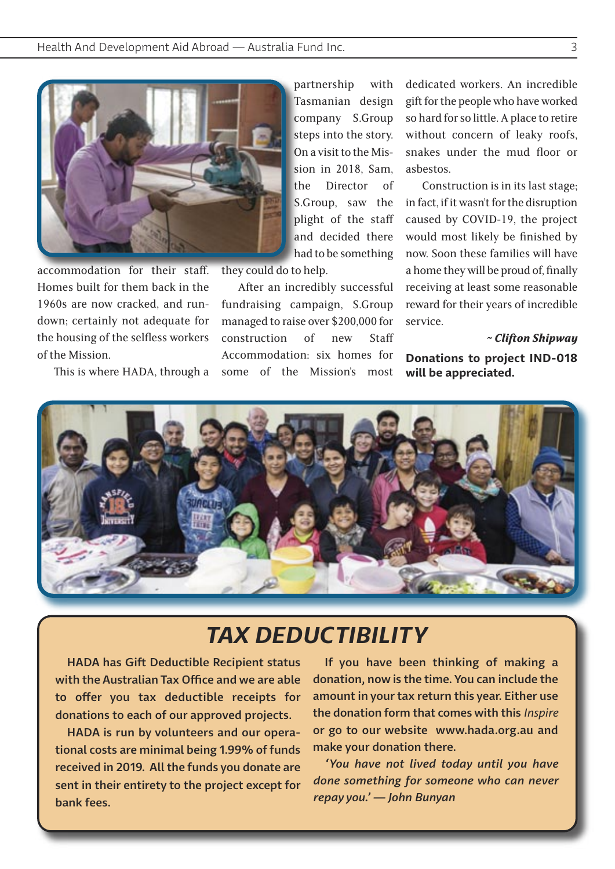

accommodation for their staff. Homes built for them back in the 1960s are now cracked, and rundown; certainly not adequate for the housing of the selfless workers of the Mission.

This is where HADA, through a

partnership with Tasmanian design company S.Group steps into the story. On a visit to the Mission in 2018, Sam, the Director of S.Group, saw the plight of the staff and decided there had to be something

they could do to help.

After an incredibly successful fundraising campaign, S.Group managed to raise over \$200,000 for construction of new Staff Accommodation: six homes for some of the Mission's most dedicated workers. An incredible gift for the people who have worked so hard for so little. A place to retire without concern of leaky roofs, snakes under the mud floor or asbestos.

Construction is in its last stage; in fact, if it wasn't for the disruption caused by COVID-19, the project would most likely be finished by now. Soon these families will have a home they will be proud of, finally receiving at least some reasonable reward for their years of incredible service.

*~ Clifton Shipway*

**Donations to project IND-018 will be appreciated.**



# *TAX DEDUCTIBILITY*

HADA has Gift Deductible Recipient status with the Australian Tax Office and we are able to offer you tax deductible receipts for donations to each of our approved projects.

HADA is run by volunteers and our operational costs are minimal being 1.99% of funds received in 2019. All the funds you donate are sent in their entirety to the project except for bank fees.

If you have been thinking of making a donation, now is the time. You can include the amount in your tax return this year. Either use the donation form that comes with this *Inspire* or go to our website www.hada.org.au and make your donation there.

*'You have not lived today until you have done something for someone who can never repay you.' — John Bunyan*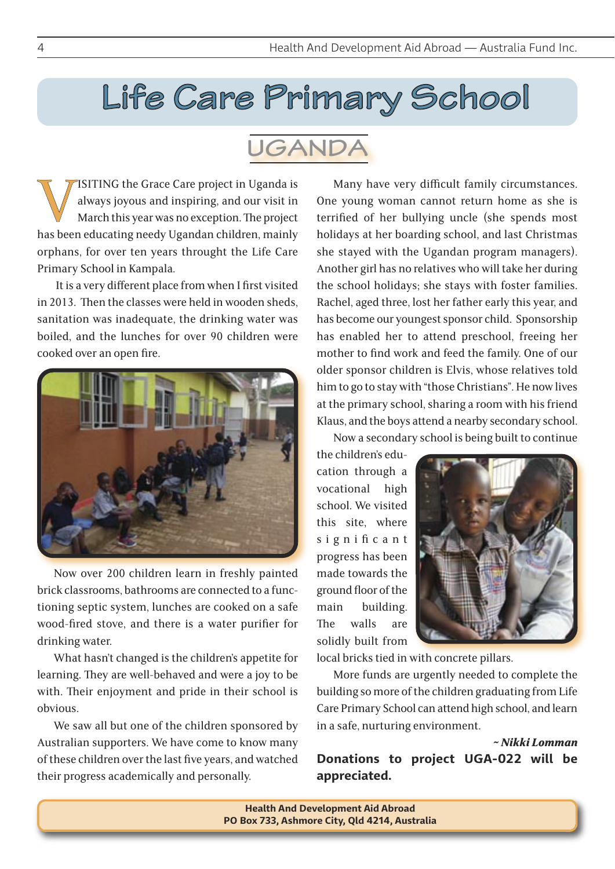# **Life Care Primary School**

# **UGANDA**

VISITING the Grace Care project in Uganda is<br>always joyous and inspiring, and our visit in<br>March this year was no exception. The project<br>has been educating needy Ugandan children, mainly always joyous and inspiring, and our visit in March this year was no exception. The project has been educating needy Ugandan children, mainly orphans, for over ten years throught the Life Care Primary School in Kampala.

 It is a very different place from when I first visited in 2013. Then the classes were held in wooden sheds, sanitation was inadequate, the drinking water was boiled, and the lunches for over 90 children were cooked over an open fire.



Now over 200 children learn in freshly painted brick classrooms, bathrooms are connected to a functioning septic system, lunches are cooked on a safe wood-fired stove, and there is a water purifier for drinking water.

What hasn't changed is the children's appetite for learning. They are well-behaved and were a joy to be with. Their enjoyment and pride in their school is obvious.

We saw all but one of the children sponsored by Australian supporters. We have come to know many of these children over the last five years, and watched their progress academically and personally.

Many have very difficult family circumstances. One young woman cannot return home as she is terrified of her bullying uncle (she spends most holidays at her boarding school, and last Christmas she stayed with the Ugandan program managers). Another girl has no relatives who will take her during the school holidays; she stays with foster families. Rachel, aged three, lost her father early this year, and has become our youngest sponsor child. Sponsorship has enabled her to attend preschool, freeing her mother to find work and feed the family. One of our older sponsor children is Elvis, whose relatives told him to go to stay with "those Christians". He now lives at the primary school, sharing a room with his friend Klaus, and the boys attend a nearby secondary school.

Now a secondary school is being built to continue

the children's education through a vocational high school. We visited this site, where significant progress has been made towards the ground floor of the main building. The walls are solidly built from



local bricks tied in with concrete pillars.

More funds are urgently needed to complete the building so more of the children graduating from Life Care Primary School can attend high school, and learn in a safe, nurturing environment.

### *~ Nikki Lomman*  **Donations to project UGA-022 will be appreciated.**

**Health And Development Aid Abroad PO Box 733, Ashmore City, Qld 4214, Australia**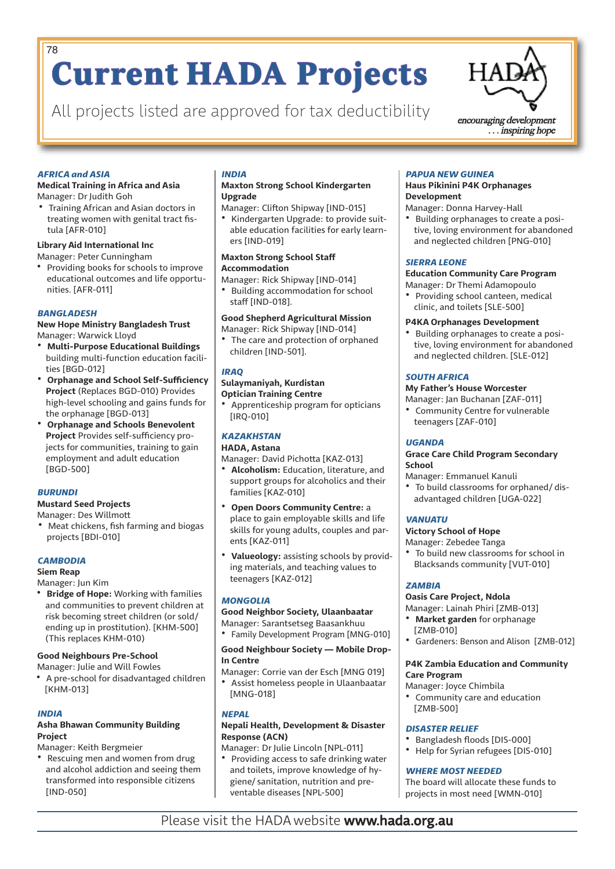# **Current HADA Projects** 78

All projects listed are approved for tax deductibility encouraging development



. . . inspiring hope

#### *AFRICA and ASIA*

#### **Medical Training in Africa and Asia**

Manager: Dr Judith Goh

• Training African and Asian doctors in treating women with genital tract fistula [AFR-010]

#### **Library Aid International Inc**

Manager: Peter Cunningham

• Providing books for schools to improve educational outcomes and life opportunities. [AFR-011]

#### *BANGLADESH*

**New Hope Ministry Bangladesh Trust** Manager: Warwick Lloyd

- **Multi-Purpose Educational Buildings** building multi-function education facilities [BGD-012]
- **Orphanage and School Self-Sufficiency Project** (Replaces BGD-010) Provides high-level schooling and gains funds for the orphanage [BGD-013]
- **Orphanage and Schools Benevolent Project** Provides self-sufficiency projects for communities, training to gain employment and adult education [BGD-500]

#### *BURUNDI*

**Mustard Seed Projects**

#### Manager: Des Willmott

• Meat chickens, fish farming and biogas projects [BDI-010]

#### *CAMBODIA*

#### **Siem Reap**

Manager: Jun Kim

• **Bridge of Hope:** Working with families and communities to prevent children at risk becoming street children (or sold/ ending up in prostitution). [KHM-500] (This replaces KHM-010)

#### **Good Neighbours Pre-School**

Manager: Julie and Will Fowles • A pre-school for disadvantaged children [KHM-013]

#### *INDIA*

#### **Asha Bhawan Community Building Project**

Manager: Keith Bergmeier

• Rescuing men and women from drug and alcohol addiction and seeing them transformed into responsible citizens [IND-050]

#### *INDIA*

#### **Maxton Strong School Kindergarten Upgrade**

Manager: Clifton Shipway [IND-015] • Kindergarten Upgrade: to provide suitable education facilities for early learners [IND-019]

#### **Maxton Strong School Staff Accommodation**

Manager: Rick Shipway [IND-014]

• Building accommodation for school staff [IND-018].

#### **Good Shepherd Agricultural Mission**

Manager: Rick Shipway [IND-014]

• The care and protection of orphaned children [IND-501].

#### *IRAQ*

#### **Sulaymaniyah, Kurdistan**

**Optician Training Centre**

• Apprenticeship program for opticians [IRQ-010]

#### *KAZAKHSTAN*

#### **HADA, Astana** Manager: David Pichotta [KAZ-013]

- **Alcoholism:** Education, literature, and support groups for alcoholics and their families [KAZ-010]
- **Open Doors Community Centre:** a place to gain employable skills and life skills for young adults, couples and parents [KAZ-011]
- **Valueology:** assisting schools by providing materials, and teaching values to teenagers [KAZ-012]

#### *MONGOLIA*

#### **Good Neighbor Society, Ulaanbaatar**

Manager: Sarantsetseg Baasankhuu • Family Development Program [MNG-010]

**Good Neighbour Society — Mobile Drop-In Centre**

Manager: Corrie van der Esch [MNG 019] • Assist homeless people in Ulaanbaatar [MNG-018]

#### *NEPAL*

#### **Nepali Health, Development & Disaster Response (ACN)**

Manager: Dr Julie Lincoln [NPL-011] • Providing access to safe drinking water and toilets, improve knowledge of hygiene/ sanitation, nutrition and preventable diseases [NPL-500]

#### *PAPUA NEW GUINEA*

#### **Haus Pikinini P4K Orphanages Development**

Manager: Donna Harvey-Hall

• Building orphanages to create a positive, loving environment for abandoned and neglected children [PNG-010]

#### *SIERRA LEONE*

#### **Education Community Care Program**

#### Manager: Dr Themi Adamopoulo

• Providing school canteen, medical clinic, and toilets [SLE-500]

#### **P4KA Orphanages Development**

• Building orphanages to create a positive, loving environment for abandoned and neglected children. [SLE-012]

#### *SOUTH AFRICA*

#### **My Father's House Worcester**

- Manager: Jan Buchanan [ZAF-011] • Community Centre for vulnerable
- teenagers [ZAF-010]

#### *UGANDA*

#### **Grace Care Child Program Secondary School**

Manager: Emmanuel Kanuli • To build classrooms for orphaned/ disadvantaged children [UGA-022]

#### *VANUATU*

#### **Victory School of Hope**

Manager: Zebedee Tanga

• To build new classrooms for school in Blacksands community [VUT-010]

#### *ZAMBIA*

#### **Oasis Care Project, Ndola**

Manager: Lainah Phiri [ZMB-013]

- **Market garden** for orphanage [ZMB-010]
- Gardeners: Benson and Alison [ZMB-012]

#### **P4K Zambia Education and Community Care Program**

- Manager: Joyce Chimbila
- Community care and education [ZMB-500]

#### *DISASTER RELIEF*

- Bangladesh floods [DIS-000]<br>• Heln for Syrian refugees [DIS-
- Help for Syrian refugees [DIS-010]

#### *WHERE MOST NEEDED*

The board will allocate these funds to projects in most need [WMN-010]